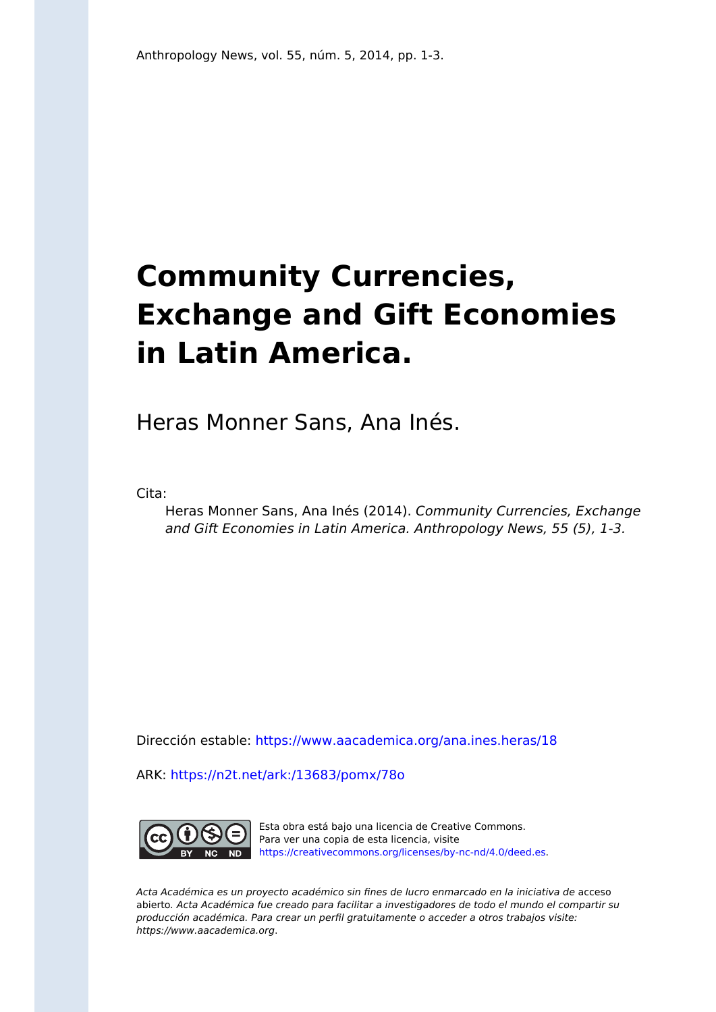## **Community Currencies, Exchange and Gift Economies in Latin America.**

Heras Monner Sans, Ana Inés.

Cita:

Heras Monner Sans, Ana Inés (2014). Community Currencies, Exchange and Gift Economies in Latin America. Anthropology News, 55 (5), 1-3.

Dirección estable:<https://www.aacademica.org/ana.ines.heras/18>

ARK: <https://n2t.net/ark:/13683/pomx/78o>



Esta obra está bajo una licencia de Creative Commons. Para ver una copia de esta licencia, visite [https://creativecommons.org/licenses/by-nc-nd/4.0/deed.es.](https://creativecommons.org/licenses/by-nc-nd/4.0/deed.es)

Acta Académica es un proyecto académico sin fines de lucro enmarcado en la iniciativa de acceso abierto. Acta Académica fue creado para facilitar a investigadores de todo el mundo el compartir su producción académica. Para crear un perfil gratuitamente o acceder a otros trabajos visite: https://www.aacademica.org.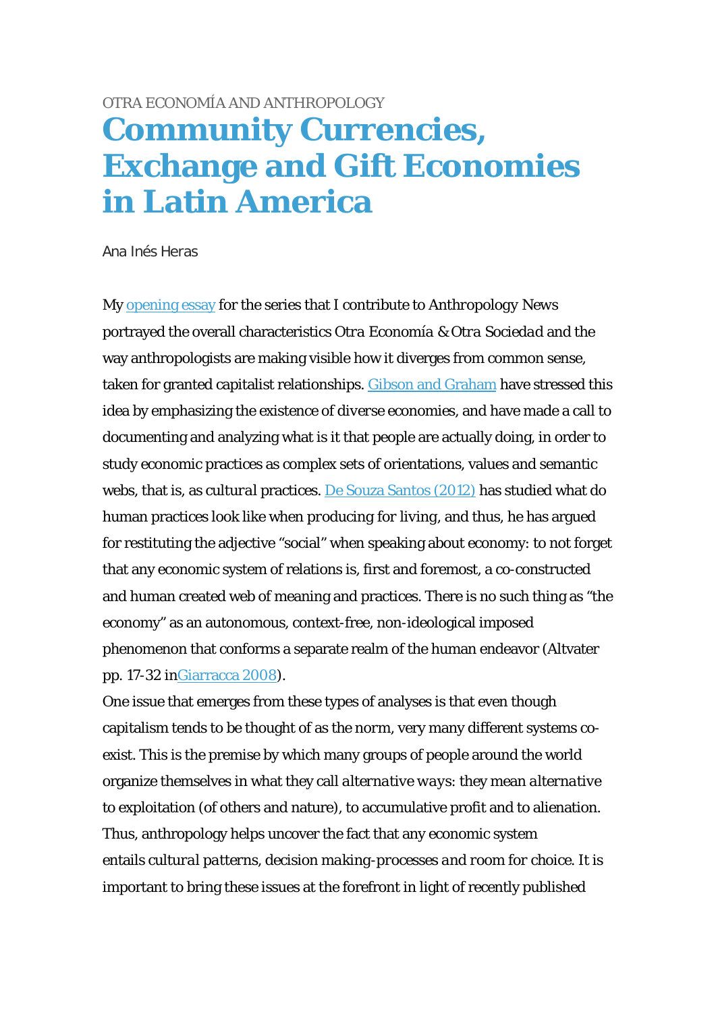## [OTRA ECONOMÍA AND ANTHROPOLOGY](http://www.anthropology-news.org/index.php/tag/otra-economia-and-anthropology/) **[Community Currencies,](http://www.anthropology-news.org/index.php/2014/05/13/community-currencies-exchange-and-gift-economies-in-latin-america/)  [Exchange and Gift Economies](http://www.anthropology-news.org/index.php/2014/05/13/community-currencies-exchange-and-gift-economies-in-latin-america/)  [in Latin America](http://www.anthropology-news.org/index.php/2014/05/13/community-currencies-exchange-and-gift-economies-in-latin-america/)**

Ana Inés Heras

My [opening essay](http://www.anthropology-news.org/index.php/2014/01/08/otra-economia-otra-sociedad-anthropology/) for the series that I contribute to *Anthropology News* portrayed the overall characteristics *Otra Economía & Otra Sociedad* and the way anthropologists are making visible how it diverges from common sense, taken for granted capitalist relationships. [Gibson and Graham](http://www.communityeconomies.org/Home) have stressed this idea by emphasizing the existence of *diverse economies*, and have made a call to documenting and analyzing what is it that people are actually doing, in order to study economic practices as complex sets of orientations, values and semantic webs, that is, as *cultural* practices. [De Souza Santos \(2012\)](http://www.lanacion.com.ar/1444872-mas-alla-de-la-logica-del-capitalismo) has studied what do human practices look like when *producing for living*, and thus, he has argued for restituting the adjective "social" when speaking about economy: to not forget that any economic system of relations is, first and foremost, a co-constructed and human created web of meaning and practices. There is no such thing as "the economy" as an autonomous, context-free, non-ideological imposed phenomenon that conforms a separate realm of the human endeavor (Altvater pp. 17-32 i[nGiarracca 2008\)](http://www.ger-gemsal.org.ar/wp-content/imagenes/eltrabajoporvenir.pdf).

One issue that emerges from these types of analyses is that even though capitalism tends to be thought of as *the norm*, very many different systems coexist. This is the premise by which many groups of people around the world organize themselves in what they call *alternative ways*: they mean *alternative to* exploitation (of others and nature), to accumulative profit and to alienation. Thus, anthropology helps uncover the fact that any economic system entails *cultural patterns, decision making-processes and room for choice*. It is important to bring these issues at the forefront in light of recently published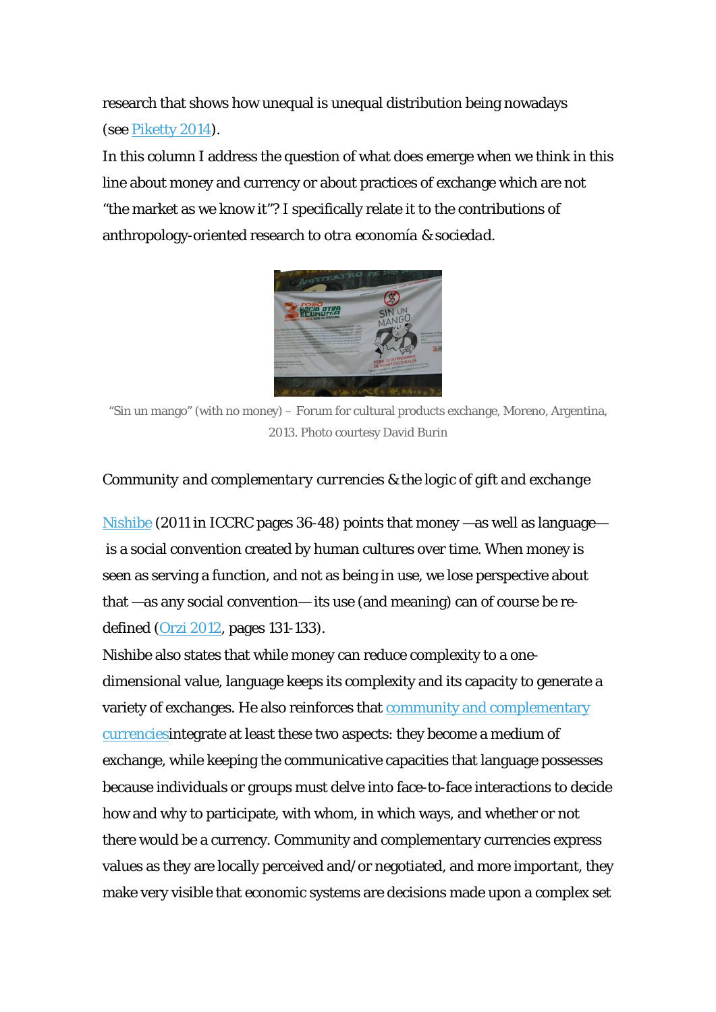research that shows how unequal is unequal distribution being nowadays (see [Piketty 2014](http://www.youtube.com/watch?v=7TLtXfZth5w#t=40)).

In this column I address the question of what does emerge when we think in this line about money and currency or about practices of exchange which are not "the market as we know it"? I specifically relate it to the contributions of anthropology-oriented research to *otra economía & sociedad.*



"Sin un mango" (with no money) – Forum for cultural products exchange, Moreno, Argentina, 2013. Photo courtesy David Burin

## *Community and complementary currencies & the logic of gift and exchange*

[Nishibe](http://ijccr.files.wordpress.com/2012/07/ijccr-2012-vol-16-special-issue-complete3.pdf) (2011 in ICCRC pages 36-48) points that money —as well as language is a social convention created by human cultures over time. When money is seen as serving a function, and not as being *in use*, we lose perspective about that —as any social convention— its use (and meaning) can of course be redefined [\(Orzi 2012,](http://www.socioeco.org/bdf_fiche-publication-458_es.html) pages 131-133).

Nishibe also states that while money can reduce complexity to a onedimensional value, language keeps its complexity and its capacity to generate a variety of exchanges. He also reinforces that [community and complementary](http://communitycurrenciesinaction.eu/about-ccs/) [currencies](http://communitycurrenciesinaction.eu/about-ccs/)integrate at least these two aspects: they become a medium of exchange, while keeping the communicative capacities that language possesses because individuals or groups must delve into face-to-face interactions to decide how and why to participate, with whom, in which ways, and whether or not there would be a currency. Community and complementary currencies express values as they are locally perceived and/or negotiated, and more important, they make very visible that economic systems are decisions made upon a complex set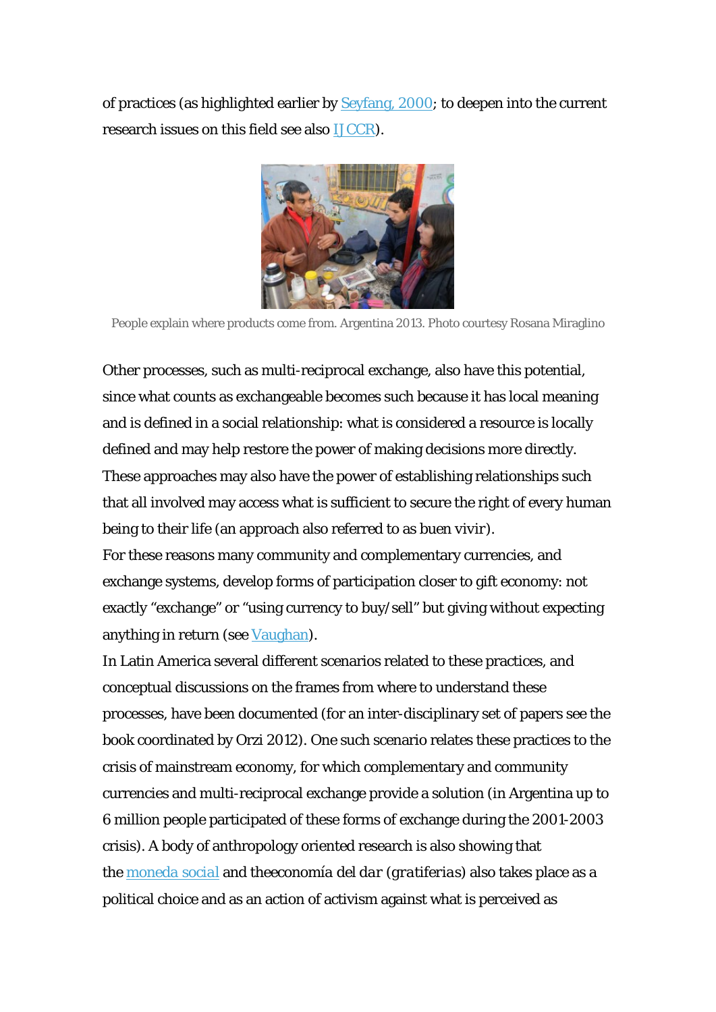of practices (as highlighted earlier by [Seyfang, 2000;](http://www.tandfonline.com/doi/abs/10.1080/713687774#preview) to deepen into the current research issues on this field see also [IJCCR\)](http://ijccr.files.wordpress.com/2012/07/ijccr-2011-special-issue.pdf).



People explain where products come from. Argentina 2013. Photo courtesy Rosana Miraglino

Other processes, such as multi-reciprocal exchange, also have this potential, since what counts as exchangeable becomes such because it has local meaning and is defined in a social relationship: what is considered a resource is locally defined and may help restore the power of making decisions more directly. These approaches may also have the power of establishing relationships such that all involved may access what is sufficient to secure the right of every human being to their life (an approach also referred to as *buen vivir*).

For these reasons many community and complementary currencies, and exchange systems, develop forms of participation closer to gift economy: not exactly "exchange" or "using currency to buy/sell" but giving without expecting anything in return (see [Vaughan](http://gift-economy.com/articles-and-essays/)).

In Latin America several different scenarios related to these practices, and conceptual discussions on the frames from where to understand these processes, have been documented (for an inter-disciplinary set of papers see the book coordinated by Orzi 2012). One such scenario relates these practices to the crisis of mainstream economy, for which complementary and community currencies and multi-reciprocal exchange provide a solution (in Argentina up to 6 million people participated of these forms of exchange during the 2001-2003 crisis). A body of anthropology oriented research is also showing that the *[moneda social](http://www.economiasolidaria.org/files/Cartilla_Moneda_Social_2012.pdf)* and the*economía del dar (gratiferias)* also takes place as a political choice and as an action of activism against what is perceived as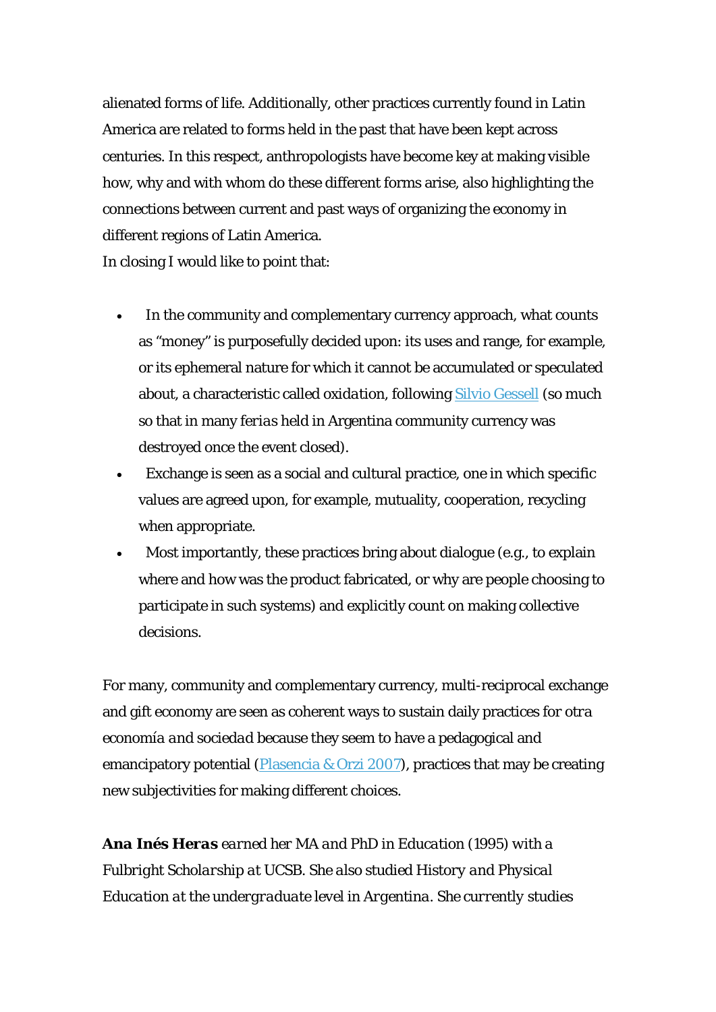alienated forms of life. Additionally, other practices currently found in Latin America are related to forms held in the past that have been kept across centuries. In this respect, anthropologists have become key at making visible how, why and with whom do these different forms arise, also highlighting the connections between current and past ways of organizing the economy in different regions of Latin America.

In closing I would like to point that:

- In the community and complementary currency approach, what counts as "money" is purposefully decided upon: its uses and range, for example, or its ephemeral nature for which it cannot be accumulated or speculated about, a characteristic called *oxidation*, following [Silvio Gessell](http://asambleademajaras.com/videos/detalle_video.php?idvideo=551) (so much so that in many *ferias* held in Argentina community currency was destroyed once the event closed).
- Exchange is seen as a social and cultural practice, one in which specific values are agreed upon, for example, mutuality, cooperation, recycling when appropriate.
- Most importantly, these practices bring about dialogue (e.g., to explain where and how was the product fabricated, or why are people choosing to participate in such systems) and explicitly count on making collective decisions.

For many, community and complementary currency, multi-reciprocal exchange and gift economy are seen as coherent ways to sustain daily practices for *otra economía and sociedad* because they seem to have a pedagogical and emancipatory potential ([Plasencia & Orzi 2007\)](http://www.ciccus.org.ar/ed/book/moneda-social-y-mercados-solidarios/), practices that may be creating new subjectivities for making different choices.

*Ana Inés Heras earned her MA and PhD in Education (1995) with a Fulbright Scholarship at UCSB. She also studied History and Physical Education at the undergraduate level in Argentina. She currently studies*